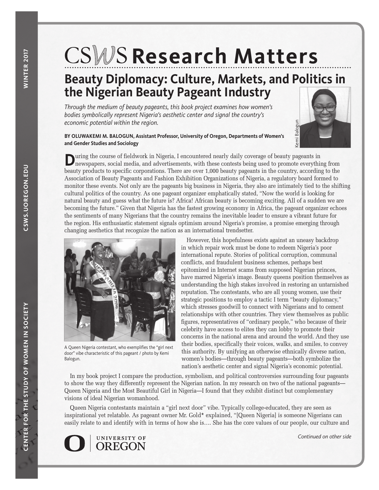### **Research Matters** RESEAI

## **Beauty Diplomacy: Culture, Markets, and Politics in the Nigerian Beauty Pageant Industry**

*Through the medium of beauty pageants, this book project examines how women's bodies symbolically represent Nigeria's aesthetic center and signal the country's economic potential within the region.* 

### **BY OLUWAKEMI M. BALOGUN, Assistant Professor, University of Oregon, Departments of Women's and Gender Studies and Sociology**



**D**uring the course of fieldwork in Nigeria, I encountered nearly daily coverage of beauty pageants in newspapers, social media, and advertisements, with these contests being used to promote everything from beauty products to specific corporations. There are over 1,000 beauty pageants in the country, according to the Association of Beauty Pageants and Fashion Exhibition Organizations of Nigeria, a regulatory board formed to monitor these events. Not only are the pageants big business in Nigeria, they also are intimately tied to the shifting cultural politics of the country. As one pageant organizer emphatically stated, "Now the world is looking for natural beauty and guess what the future is? Africa! African beauty is becoming exciting. All of a sudden we are becoming the future." Given that Nigeria has the fastest growing economy in Africa, the pageant organizer echoes the sentiments of many Nigerians that the country remains the inevitable leader to ensure a vibrant future for the region. His enthusiastic statement signals optimism around Nigeria's promise, a promise emerging through changing aesthetics that recognize the nation as an international trendsetter.



A Queen Nigeria contestant, who exemplifies the "girl next door" vibe characteristic of this pageant / photo by Kemi Balogun.

However, this hopefulness exists against an uneasy backdrop in which repair work must be done to redeem Nigeria's poor international repute. Stories of political corruption, communal conflicts, and fraudulent business schemes, perhaps best epitomized in Internet scams from supposed Nigerian princes, have marred Nigeria's image. Beauty queens position themselves as understanding the high stakes involved in restoring an untarnished reputation. The contestants, who are all young women, use their strategic positions to employ a tactic I term "beauty diplomacy," which stresses goodwill to connect with Nigerians and to cement relationships with other countries. They view themselves as public figures, representatives of "ordinary people," who because of their celebrity have access to elites they can lobby to promote their concerns in the national arena and around the world. And they use their bodies, specifically their voices, walks, and smiles, to convey this authority. By unifying an otherwise ethnically diverse nation, women's bodies—through beauty pageants—both symbolize the nation's aesthetic center and signal Nigeria's economic potential. **Example 19**<br> **Continued in the example on other sides in the everything from**<br> *Continued to the shifting*<br> *Continued to the shifting*<br> *Continue of a sudden we area to reganizer echoes*<br> *Continued in the simulary backd* 

In my book project I compare the production, symbolism, and political controversies surrounding four pageants to show the way they differently represent the Nigerian nation. In my research on two of the national pageants— Queen Nigeria and the Most Beautiful Girl in Nigeria—I found that they exhibit distinct but complementary visions of ideal Nigerian womanhood.

Queen Nigeria contestants maintain a "girl next door" vibe. Typically college-educated, they are seen as inspirational yet relatable. As pageant owner Mr. Gold**\*** explained, "[Queen Nigeria] is someone Nigerians can easily relate to and identify with in terms of how she is…. She has the core values of our people, our culture and



Continued on other side